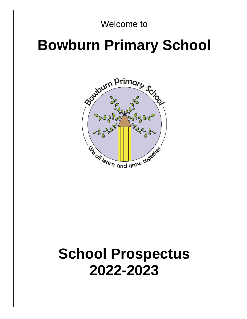# Welcome to

# **Bowburn Primary School**



# **School Prospectus 2022-2023**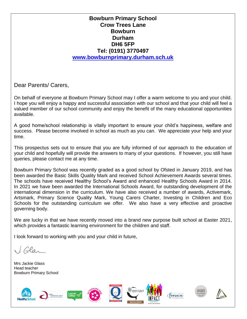# **Bowburn Primary School Crow Trees Lane Bowburn Durham DH6 5FP Tel: (0191) 3770497 [www.bowburnprimary.durham.sch.uk](http://www.bowburnprimary.durham.sch.uk/)**

Dear Parents/ Carers,

On behalf of everyone at Bowburn Primary School may I offer a warm welcome to you and your child. I hope you will enjoy a happy and successful association with our school and that your child will feel a valued member of our school community and enjoy the benefit of the many educational opportunities available.

A good home/school relationship is vitally important to ensure your child's happiness, welfare and success. Please become involved in school as much as you can. We appreciate your help and your time.

This prospectus sets out to ensure that you are fully informed of our approach to the education of your child and hopefully will provide the answers to many of your questions. If however, you still have queries, please contact me at any time.

Bowburn Primary School was recently graded as a good school by Ofsted in January 2019, and has been awarded the Basic Skills Quality Mark and received School Achievement Awards several times. The schools have received Healthy School's Award and enhanced Healthy Schools Award in 2014. In 2021 we have been awarded the International Schools Award, for outstanding development of the international dimension in the curriculum. We have also received a number of awards, Activemark, Artsmark, Primary Science Quality Mark, Young Carers Charter, Investing in Children and Eco Schools for the outstanding curriculum we offer. We also have a very effective and proactive governing body.

We are lucky in that we have recently moved into a brand new purpose built school at Easter 2021, which provides a fantastic learning environment for the children and staff.

I look forward to working with you and your child in future,

 $l$  Glas

Mrs Jackie Glass Head teacher Bowburn Primary School



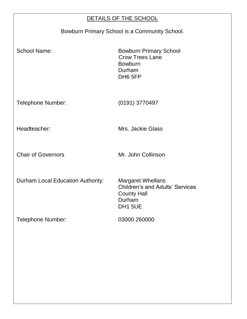| DETAILS OF THE SCHOOL                         |                                                                                                               |  |
|-----------------------------------------------|---------------------------------------------------------------------------------------------------------------|--|
| Bowburn Primary School is a Community School. |                                                                                                               |  |
| <b>School Name:</b>                           | <b>Bowburn Primary School</b><br><b>Crow Trees Lane</b><br><b>Bowburn</b><br>Durham<br>DH6 5FP                |  |
| <b>Telephone Number:</b>                      | (0191) 3770497                                                                                                |  |
| Headteacher:                                  | Mrs. Jackie Glass                                                                                             |  |
| <b>Chair of Governors</b>                     | Mr. John Collinson                                                                                            |  |
| Durham Local Education Authority:             | <b>Margaret Whellans</b><br><b>Children's and Adults' Services</b><br><b>County Hall</b><br>Durham<br>DH1 5UE |  |
| <b>Telephone Number:</b>                      | 03000 260000                                                                                                  |  |
|                                               |                                                                                                               |  |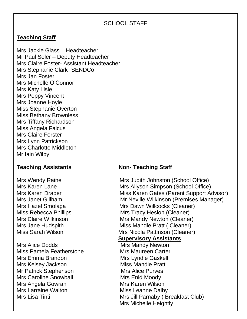# SCHOOL STAFF

# **Teaching Staff**

Mrs Jackie Glass – Headteacher Mr Paul Soler – Deputy Headteacher Mrs Claire Foster- Assistant Headteacher Mrs Stephanie Clark- SENDCo Mrs Jan Foster Mrs Michelle O'Connor Mrs Katy Lisle Mrs Poppy Vincent Mrs Joanne Hoyle Miss Stephanie Overton Miss Bethany Brownless Mrs Tiffany Richardson Miss Angela Falcus Mrs Claire Forster Mrs Lynn Patrickson Mrs Charlotte Middleton Mr Iain Wilby

# **Teaching Assistants Non- Teaching Staff**

Mrs Alice Dodds Mrs Mandy Newton Miss Pamela Featherstone Mrs Maureen Carter Mrs Emma Brandon Mrs Lyndie Gaskell Mrs Kelsey Jackson Miss Mandie Pratt Mr Patrick Stephenson Mrs Alice Purves Mrs Caroline Snowball Mrs Enid Moody Mrs Angela Gowran **Mrs Karen Wilson** Mrs Larraine Walton **Miss Leanne Dalby** 

Mrs Wendy Raine Mrs Judith Johnston (School Office) Mrs Karen Lane Mrs Allyson Simpson (School Office) Mrs Karen Draper Miss Karen Gates (Parent Support Advisor) Mrs Janet Gillham Mr Neville Wilkinson (Premises Manager) Mrs Hazel Smolaga Mrs Dawn Willcocks (Cleaner) Miss Rebecca Phillips Mrs Tracy Heslop (Cleaner) Mrs Claire Wilkinson **Mrs Mandy Newton (Cleaner)** Mrs Jane Hudspith Miss Mandie Pratt ( Cleaner ) Miss Sarah Wilson Mrs Nicola Pattinson (Cleaner)

# **Supervisory Assistants**

Mrs Lisa Tinti **Mrs Jill Parnaby ( Breakfast Club**) Mrs Michelle Heightly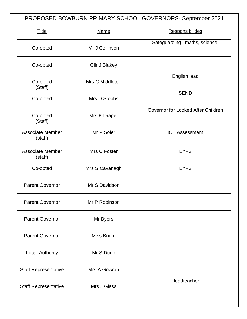# PROPOSED BOWBURN PRIMARY SCHOOL GOVERNORS- September 2021

| <b>Name</b>        | <b>Responsibilities</b>            |
|--------------------|------------------------------------|
| Mr J Collinson     | Safeguarding, maths, science.      |
| Cllr J Blakey      |                                    |
| Mrs C Middleton    | English lead                       |
| Mrs D Stobbs       | <b>SEND</b>                        |
| Mrs K Draper       | Governor for Looked After Children |
| Mr P Soler         | <b>ICT Assessment</b>              |
| Mrs C Foster       | <b>EYFS</b>                        |
| Mrs S Cavanagh     | <b>EYFS</b>                        |
| Mr S Davidson      |                                    |
| Mr P Robinson      |                                    |
| Mr Byers           |                                    |
| <b>Miss Bright</b> |                                    |
| Mr S Dunn          |                                    |
| Mrs A Gowran       |                                    |
| Mrs J Glass        | Headteacher                        |
|                    |                                    |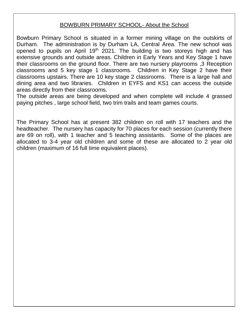# BOWBURN PRIMARY SCHOOL- About the School

Bowburn Primary School is situated in a former mining village on the outskirts of Durham. The administration is by Durham LA, Central Area. The new school was opened to pupils on April 19<sup>th</sup> 2021. The building is two storeys high and has extensive grounds and outside areas. Children in Early Years and Key Stage 1 have their classrooms on the ground floor. There are two nursery playrooms ,3 Reception classrooms and 5 key stage 1 classrooms. Children in Key Stage 2 have their classrooms upstairs. There are 10 key stage 2 classrooms. There is a large hall and dining area and two libraries. Children in EYFS and KS1 can access the outside areas directly from their classrooms.

The outside areas are being developed and when complete will include 4 grassed paying pitches , large school field, two trim trails and team games courts.

The Primary School has at present 382 children on roll with 17 teachers and the headteacher. The nursery has capacity for 70 places for each session (currently there are 69 on roll), with 1 teacher and 5 teaching assistants. Some of the places are allocated to 3-4 year old children and some of these are allocated to 2 year old children (maximum of 16 full time equivalent places).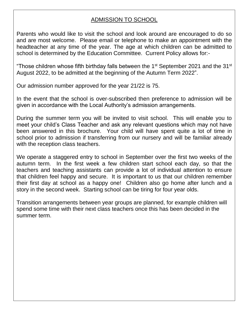# ADMISSION TO SCHOOL

Parents who would like to visit the school and look around are encouraged to do so and are most welcome. Please email or telephone to make an appointment with the headteacher at any time of the year. The age at which children can be admitted to school is determined by the Education Committee. Current Policy allows for:-

"Those children whose fifth birthday falls between the 1<sup>st</sup> September 2021 and the 31<sup>st</sup> August 2022, to be admitted at the beginning of the Autumn Term 2022".

Our admission number approved for the year 21/22 is 75.

In the event that the school is over-subscribed then preference to admission will be given in accordance with the Local Authority's admission arrangements.

During the summer term you will be invited to visit school. This will enable you to meet your child's Class Teacher and ask any relevant questions which may not have been answered in this brochure. Your child will have spent quite a lot of time in school prior to admission if transferring from our nursery and will be familiar already with the reception class teachers.

We operate a staggered entry to school in September over the first two weeks of the autumn term. In the first week a few children start school each day, so that the teachers and teaching assistants can provide a lot of individual attention to ensure that children feel happy and secure. It is important to us that our children remember their first day at school as a happy one! Children also go home after lunch and a story in the second week. Starting school can be tiring for four year olds.

Transition arrangements between year groups are planned, for example children will spend some time with their next class teachers once this has been decided in the summer term.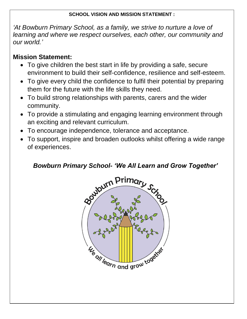# **SCHOOL VISION AND MISSION STATEMENT :**

*'At Bowburn Primary School, as a family, we strive to nurture a love of learning and where we respect ourselves, each other, our community and our world.'*

# **Mission Statement:**

- To give children the best start in life by providing a safe, secure environment to build their self-confidence, resilience and self-esteem.
- To give every child the confidence to fulfil their potential by preparing them for the future with the life skills they need.
- To build strong relationships with parents, carers and the wider community.
- To provide a stimulating and engaging learning environment through an exciting and relevant curriculum.
- To encourage independence, tolerance and acceptance.
- To support, inspire and broaden outlooks whilst offering a wide range of experiences.

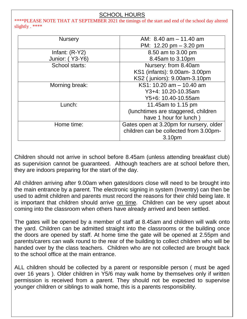# SCHOOL HOURS

\*\*\*\*PLEASE NOTE THAT AT SEPTEMBER 2021 the timings of the start and end of the school day altered slightly . \*\*\*\*

| <b>Nursery</b>   | AM: 8.40 am - 11.40 am                   |
|------------------|------------------------------------------|
|                  | PM: $12.20 \text{ pm} - 3.20 \text{ pm}$ |
| Infant: $(R-Y2)$ | 8.50 am to 3.00 pm                       |
| Junior: (Y3-Y6)  | 8.45am to 3.10pm                         |
| School starts:   | Nursery: from 8.40am                     |
|                  | KS1 (infants): 9.00am- 3.00pm            |
|                  | KS2 (juniors): 9.00am-3.10pm             |
| Morning break:   | KS1: 10.20 am - 10.40 am                 |
|                  | Y3+4: 10.20-10.35am                      |
|                  | Y5+6: 10.40-10.55am                      |
| Lunch:           | 11.45am to 1.15 pm                       |
|                  | (lunchtimes are staggered, children      |
|                  | have 1 hour for lunch)                   |
| Home time:       | Gates open at 3.20pm for nursery, older  |
|                  | children can be collected from 3.00pm-   |
|                  | 3.10pm                                   |

Children should not arrive in school before 8.45am (unless attending breakfast club) as supervision cannot be guaranteed. Although teachers are at school before then, they are indoors preparing for the start of the day.

All children arriving after 9.00am when gates/doors close will need to be brought into the main entrance by a parent. The electronic signing in system (Inventry) can then be used to admit children and parents must record the reasons for their child being late. It is important that children should arrive on time. Children can be very upset about coming into the classroom when others have already arrived and been settled.

The gates will be opened by a member of staff at 8.45am and children will walk onto the yard. Children can be admitted straight into the classrooms or the building once the doors are opened by staff. At home time the gate will be opened at 2.55pm and parents/carers can walk round to the rear of the building to collect children who will be handed over by the class teachers. Children who are not collected are brought back to the school office at the main entrance.

ALL children should be collected by a parent or responsible person ( must be aged over 16 years ). Older children in Y5/6 may walk home by themselves only if written permission is received from a parent. They should not be expected to supervise younger children or siblings to walk home, this is a parents responsibility.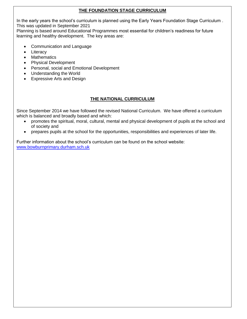#### **THE FOUNDATION STAGE CURRICULUM**

In the early years the school's curriculum is planned using the Early Years Foundation Stage Curriculum . This was updated in September 2021

Planning is based around Educational Programmes most essential for children's readiness for future learning and healthy development. The key areas are:

- Communication and Language
- Literacy
- Mathematics
- Physical Development
- Personal, social and Emotional Development
- Understanding the World
- Expressive Arts and Design

# **THE NATIONAL CURRICULUM**

Since September 2014 we have followed the revised National Curriculum. We have offered a curriculum which is balanced and broadly based and which:

- promotes the spiritual, moral, cultural, mental and physical development of pupils at the school and of society and
- prepares pupils at the school for the opportunities, responsibilities and experiences of later life.

Further information about the school's curriculum can be found on the school website: [www.bowburnprimary.durham.sch.uk](http://www.bowburnprimary.durham.sch.uk/)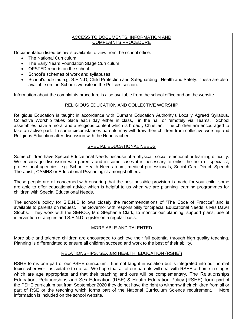#### ACCESS TO DOCUMENTS, INFORMATION AND COMPLAINTS PROCEDURE

Documentation listed below is available to view from the school office.

- The National Curriculum.
- The Early Years Foundation Stage Curriculum
- OFSTED reports on the school.
- School's schemes of work and syllabuses.
- School's policies e.g. S.E.N.D, Child Protection and Safeguarding , Health and Safety. These are also available on the Schools website in the Policies section.

Information about the complaints procedure is also available from the school office and on the website.

#### RELIGIOUS EDUCATION AND COLLECTIVE WORSHIP

Religious Education is taught in accordance with Durham Education Authority's Locally Agreed Syllabus. Collective Worship takes place each day either in class, in the hall or remotely via Teams. School assemblies have a moral and a religious content which is broadly Christian. The children are encouraged to take an active part. In some circumstances parents may withdraw their children from collective worship and Religious Education after discussion with the Headteacher.

#### SPECIAL EDUCATIONAL NEEDS

Some children have Special Educational Needs because of a physical, social, emotional or learning difficulty. We encourage discussion with parents and in some cases it is necessary to enlist the help of specialist, professional agencies, e.g. School Health Needs team, medical professionals, Social Care Direct, Speech Therapist , CAMHS or Educational Psychologist amongst others.

These people are all concerned with ensuring that the best possible provision is made for your child, some are able to offer educational advice which is helpful to us when we are planning learning programmes for children with Special Educational Needs.

The school's policy for S.E.N.D follows closely the recommendations of "The Code of Practice" and is available to parents on request. The Governor with responsibility for Special Educational Needs is Mrs Dawn Stobbs. They work with the SENCO, Mrs Stephanie Clark, to monitor our planning, support plans, use of intervention strategies and S.E.N.D register on a regular basis.

#### MORE ABLE AND TALENTED

More able and talented children are encouraged to achieve their full potential through high quality teaching. Planning is differentiated to ensure all children succeed and work to the best of their ability.

#### RELATIONSHIPS, SEX and HEALTH EDUCATION (RSHE))

RSHE forms one part of our PSHE curriculum. It is not taught in isolation but is integrated into our normal topics wherever it is suitable to do so. We hope that all of our parents will deal with RSHE at home in stages which are age appropriate and that their teaching and ours will be complementary. The Relationships Education, Relationships and Sex Education (RSE) & Health Education Policy (RSHE) form part of the PSHE curriculum but from September 2020 they do not have the right to withdraw their children from all or part of RSE or the teaching which forms part of the National Curriculum Science requirement. More information is included on the school website.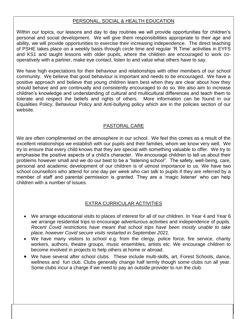## PERSONAL, SOCIAL & HEALTH EDUCATION

Within our topics, our lessons and day to day routines we will provide opportunities for children's personal and social development. We will give them responsibilities appropriate to their age and ability, we will provide opportunities to exercise their increasing independence. The direct teaching of PSHE takes place on a weekly basis through circle time and regular 'R Time' activities in EYFS and KS1 and taught lessons with older pupils, where the children are encouraged to work cooperatively with a partner, make eye contact, listen to and value what others have to say.

We have high expectations for their behaviour and relationships with other members of our school community. We believe that good behaviour is important and needs to be encouraged. We have a positive approach and believe that young children learn best when they are clear about how they should behave and are continually and consistently encouraged to do so. We also aim to increase children's knowledge and understanding of cultural and multicultural differences and teach them to tolerate and respect the beliefs and rights of others. More information can be found in our Equalities Policy, Behaviour Policy and Anti-bullying policy which are in the policies section of our website.

# PASTORAL CARE

We are often complimented on the atmosphere in our school. We feel this comes as a result of the excellent relationships we establish with our pupils and their families, whom we know very well. We try to ensure that every child knows that they are special with something valuable to offer. We try to emphasise the positive aspects of a child's character. We encourage children to tell us about their problems however small and we do our best to be a "listening school". The safety, well-being, care, personal and academic development of our children is of utmost importance to us. We have two school counsellors who attend for one day per week who can talk to pupils if they are referred by a member of staff and parental permission is granted. They are a 'magic listener' who can help children with a number of issues.

# EXTRA CURRICULAR ACTIVITIES

- We arrange educational visits to places of interest for all of our children. In Year 4 and Year 6 we arrange residential trips to encourage adventurous activities and independence of pupils. *Recent Covid restrictions have meant that school trips have been mostly unable to take place, however Covid secure visits restarted in September 2021.*
- We have many visitors to school e.g. from the clergy, police force, fire service, charity workers, authors, theatre groups, music ensembles, artists etc. We encourage children to become involved in projects to help others at home or abroad.
- We have several after school clubs. These include multi-skills, art, Forest Schools, dance, wellness and fun club. Clubs generally change half termly though some clubs run all year. Some clubs incur a charge if we need to pay an outside provider to run the club.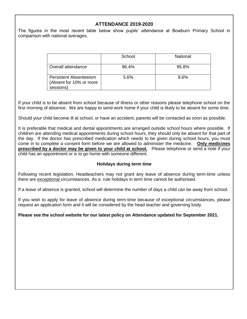## **ATTENDANCE 2019-2020**

The figures in the most recent table below show pupils' attendance at Bowburn Primary School in comparison with national averages.

|                                                                       | School | National |
|-----------------------------------------------------------------------|--------|----------|
| Overall attendance                                                    | 96.4%  | 95.8%    |
| <b>Persistent Absenteeism</b><br>(Absent for 10% or more<br>sessions) | 5.6%   | 9.6%     |

If your child is to be absent from school because of illness or other reasons please telephone school on the first morning of absence. We are happy to send work home if your child is likely to be absent for some time.

Should your child become ill at school, or have an accident, parents will be contacted as soon as possible.

It is preferable that medical and dental appointments are arranged outside school hours where possible. If children are attending medical appointments during school hours, they should only be absent for that part of the day. If the doctor has prescribed medication which needs to be given during school hours, you must come in to complete a consent form before we are allowed to administer the medicine. **Only medicines prescribed by a doctor may be given to your child at school.** Please telephone or send a note if your child has an appointment or is to go home with someone different.

#### **Holidays during term time**

Following recent legislation, Headteachers may not grant any leave of absence during term-time unless there are exceptional circumstances. As a rule holidays in term time cannot be authorised.

If a leave of absence is granted, school will determine the number of days a child can be away from school.

If you wish to apply for leave of absence during term-time because of exceptional circumstances, please request an application form and it will be considered by the head teacher and governing body.

#### **Please see the school website for our latest policy on Attendance updated for September 2021.**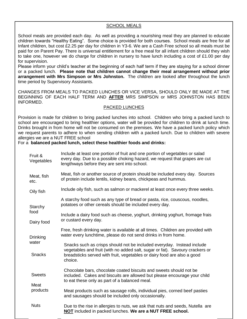#### SCHOOL MEALS

School meals are provided each day. As well as providing a nourishing meal they are planned to educate children towards "Healthy Eating". Some choice is provided for both courses. School meals are free for all Infant children, but cost £2.25 per day for children in Y3-6. We are a Cash Free school so all meals must be paid for on Parent Pay. There is universal entitlement for a free meal for all infant children should they wish to take one, however we do charge for children in nursery to have lunch including a cost of £1.00 per day for supervision.

Please inform your child's teacher at the beginning of each half term if they are staying for a school dinner or a packed lunch. **Please note that children cannot change their meal arrangement without prior arrangement with Mrs Simpson or Mrs Johnston.** The children are looked after throughout the lunch time period by Supervisory Assistants.

CHANGES FROM MEALS TO PACKED LUNCHES OR VICE VERSA, SHOULD ONLY BE MADE AT THE BEGINNING OF EACH HALF TERM AND **AFTER** MRS SIMPSON or MRS JOHNSTON HAS BEEN INFORMED.

#### PACKED LUNCHES

Provision is made for children to bring packed lunches into school. Children who bring a packed lunch to school are encouraged to bring healthier options, water will be provided for children to drink at lunch time. Drinks brought in from home will not be consumed on the premises. We have a packed lunch policy which we request parents to adhere to when sending children with a packed lunch. Due to children with severe allergies we are a NUT FREE school

#### For a **balanced packed lunch, select these healthier foods and drinks:**

| Fruit &<br>Vegetables  | Include at least one portion of fruit and one portion of vegetables or salad<br>every day. Due to a possible choking hazard, we request that grapes are cut<br>lengthways before they are sent into school.                                  |  |
|------------------------|----------------------------------------------------------------------------------------------------------------------------------------------------------------------------------------------------------------------------------------------|--|
| Meat, fish<br>etc.     | Meat, fish or another source of protein should be included every day. Sources<br>of protein include lentils, kidney beans, chickpeas and hummus.                                                                                             |  |
| Oily fish              | Include oily fish, such as salmon or mackerel at least once every three weeks.                                                                                                                                                               |  |
| Starchy                | A starchy food such as any type of bread or pasta, rice, couscous, noodles,<br>potatoes or other cereals should be included every day.                                                                                                       |  |
| food<br>Dairy food     | Include a dairy food such as cheese, yoghurt, drinking yoghurt, fromage frais<br>or custard every day.                                                                                                                                       |  |
| Drinking               | Free, fresh drinking water is available at all times. Children are provided with<br>water every lunchtime, please do not send drinks in from home.                                                                                           |  |
| water<br><b>Snacks</b> | Snacks such as crisps should not be included everyday. Instead include<br>vegetables and fruit (with no added salt, sugar or fat). Savoury crackers or<br>breadsticks served with fruit, vegetables or dairy food are also a good<br>choice. |  |
| <b>Sweets</b><br>Meat  | Chocolate bars, chocolate coated biscuits and sweets should not be<br>included. Cakes and biscuits are allowed but please encourage your child<br>to eat these only as part of a balanced meal.                                              |  |
| products               | Meat products such as sausage rolls, individual pies, corned beef pasties<br>and sausages should be included only occasionally.                                                                                                              |  |
| <b>Nuts</b>            | Due to the rise in allergies to nuts, we ask that nuts and seeds, Nutella are<br>NOT included in packed lunches. We are a NUT FREE school.                                                                                                   |  |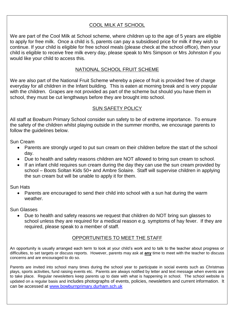# COOL MILK AT SCHOOL

We are part of the Cool Milk at School scheme, where children up to the age of 5 years are eligible to apply for free milk. Once a child is 5, parents can pay a subsidised price for milk if they wish to continue. If your child is eligible for free school meals (please check at the school office), then your child is eligible to receive free milk every day, please speak to Mrs Simpson or Mrs Johnston if you would like your child to access this.

# NATIONAL SCHOOL FRUIT SCHEME

We are also part of the National Fruit Scheme whereby a piece of fruit is provided free of charge everyday for all children in the Infant building. This is eaten at morning break and is very popular with the children. Grapes are not provided as part of the scheme but should you have them in school, they must be cut lengthways before they are brought into school.

# SUN SAFETY POLICY

All staff at Bowburn Primary School consider sun safety to be of extreme importance. To ensure the safety of the children whilst playing outside in the summer months, we encourage parents to follow the guidelines below.

Sun Cream

- Parents are strongly urged to put sun cream on their children before the start of the school day.
- Due to health and safety reasons children are NOT allowed to bring sun cream to school.
- If an infant child requires sun cream during the day they can use the sun cream provided by school – Boots Soltan Kids 50+ and Ambre Solaire. Staff will supervise children in applying the sun cream but will be unable to apply it for them.

Sun Hats

• Parents are encouraged to send their child into school with a sun hat during the warm weather.

Sun Glasses

• Due to health and safety reasons we request that children do NOT bring sun glasses to school unless they are required for a medical reason e.g. symptoms of hay fever. If they are required, please speak to a member of staff.

# OPPORTUNITIES TO MEET THE STAFF

An opportunity is usually arranged each term to look at your child's work and to talk to the teacher about progress or difficulties, to set targets or discuss reports. However, parents may ask at **any** time to meet with the teacher to discuss concerns and are encouraged to do so.

Parents are invited into school many times during the school year to participate in social events such as Christmas plays, sports activities, fund raising events etc. Parents are always notified by letter and text message when events are to take place. Regular newsletters keep parents up to date with what is happening in school. The school website is updated on a regular basis and includes photographs of events, policies, newsletters and current information. It can be accessed at [www.bowburnprimary.durham.sch.uk](http://www.bowburnprimary.durham.sch.uk/)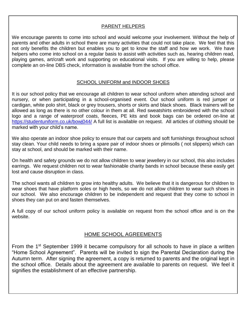# PARENT HELPERS

We encourage parents to come into school and would welcome your involvement. Without the help of parents and other adults in school there are many activities that could not take place. We feel that this not only benefits the children but enables you to get to know the staff and how we work. We have helpers who come into school on a regular basis to assist with activities such as, hearing children read, playing games, art/craft work and supporting on educational visits. If you are willing to help, please complete an on-line DBS check, information is available from the school office.

# SCHOOL UNIFORM and INDOOR SHOES

It is our school policy that we encourage all children to wear school uniform when attending school and nursery, or when participating in a school-organised event. Our school uniform is red jumper or cardigan, white polo shirt, black or grey trousers, shorts or skirts and black shoes. Black trainers will be allowed as long as there is no other colour in them at all. Red sweatshirts embroidered with the school logo and a range of waterproof coats, fleeces, PE kits and book bags can be ordered on-line at <https://studentuniform.co.uk/bowj044/> A full list is available on request. All articles of clothing should be marked with your child's name.

We also operate an indoor shoe policy to ensure that our carpets and soft furnishings throughout school stay clean. Your child needs to bring a spare pair of indoor shoes or plimsolls ( not slippers) which can stay at school, and should be marked with their name.

On health and safety grounds we do not allow children to wear jewellery in our school, this also includes earrings. We request children not to wear fashionable charity bands in school because these easily get lost and cause disruption in class.

The school wants all children to grow into healthy adults. We believe that it is dangerous for children to wear shoes that have platform soles or high heels, so we do not allow children to wear such shoes in our school. We also encourage children to be independent and request that they come to school in shoes they can put on and fasten themselves.

A full copy of our school uniform policy is available on request from the school office and is on the website.

# HOME SCHOOL AGREEMENTS

From the 1<sup>st</sup> September 1999 it became compulsory for all schools to have in place a written "Home School Agreement". Parents will be invited to sign the Parental Declaration during the Autumn term. After signing the agreement, a copy is returned to parents and the original kept in the school office. Details about the agreement are available to parents on request. We feel it signifies the establishment of an effective partnership.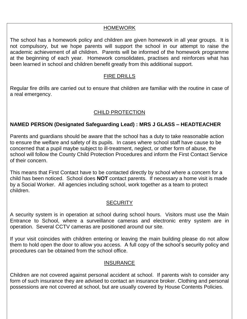# HOMEWORK

The school has a homework policy and children are given homework in all year groups. It is not compulsory, but we hope parents will support the school in our attempt to raise the academic achievement of all children. Parents will be informed of the homework programme at the beginning of each year. Homework consolidates, practises and reinforces what has been learned in school and children benefit greatly from this additional support.

# FIRE DRILLS

Regular fire drills are carried out to ensure that children are familiar with the routine in case of a real emergency.

# CHILD PROTECTION

# **NAMED PERSON (Designated Safeguarding Lead) : MRS J GLASS – HEADTEACHER**

Parents and guardians should be aware that the school has a duty to take reasonable action to ensure the welfare and safety of its pupils. In cases where school staff have cause to be concerned that a pupil maybe subject to ill-treatment, neglect, or other form of abuse, the school will follow the County Child Protection Procedures and inform the First Contact Service of their concern.

This means that First Contact have to be contacted directly by school where a concern for a child has been noticed. School does **NOT** contact parents. If necessary a home visit is made by a Social Worker. All agencies including school, work together as a team to protect children.

# **SECURITY**

A security system is in operation at school during school hours. Visitors must use the Main Entrance to School, where a surveillance cameras and electronic entry system are in operation. Several CCTV cameras are positioned around our site.

If your visit coincides with children entering or leaving the main building please do not allow them to hold open the door to allow you access. A full copy of the school's security policy and procedures can be obtained from the school office.

# INSURANCE

Children are not covered against personal accident at school. If parents wish to consider any form of such insurance they are advised to contact an insurance broker. Clothing and personal possessions are not covered at school, but are usually covered by House Contents Policies.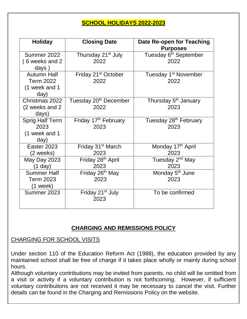# **SCHOOL HOLIDAYS 2022-2023**

| <b>Holiday</b>                         | <b>Closing Date</b>                     | <b>Date Re-open for Teaching</b><br><b>Purposes</b> |
|----------------------------------------|-----------------------------------------|-----------------------------------------------------|
| Summer 2022<br>6 weeks and 2           | Thursday 21 <sup>st</sup> July<br>2022  | Tuesday 6 <sup>th</sup> September<br>2022           |
| days $)$                               |                                         |                                                     |
| <b>Autumn Half</b><br><b>Term 2022</b> | Friday 21 <sup>st</sup> October<br>2022 | Tuesday 1 <sup>st</sup> November<br>2022            |
| (1 week and 1                          |                                         |                                                     |
| day)                                   |                                         |                                                     |
| Christmas 2022                         | Tuesday 20 <sup>th</sup> December       | Thursday 5 <sup>th</sup> January                    |
| (2 weeks and 2                         | 2022                                    | 2023                                                |
| days)                                  |                                         |                                                     |
| <b>Sprig Half Term</b>                 | Friday 17 <sup>th</sup> February        | Tuesday 28 <sup>th</sup> February                   |
| 2023                                   | 2023                                    | 2023                                                |
| (1 week and 1                          |                                         |                                                     |
| day)                                   |                                         |                                                     |
| Easter 2023                            | Friday 31 <sup>st</sup> March           | Monday 17th April                                   |
| (2 weeks)                              | 2023                                    | 2023                                                |
| <b>May Day 2023</b>                    | Friday 28 <sup>th</sup> April           | Tuesday 2 <sup>nd</sup> May                         |
| $(1$ day)                              | 2023                                    | 2023                                                |
| <b>Summer Half</b>                     | Friday 26 <sup>th</sup> May             | Monday 5 <sup>th</sup> June                         |
| <b>Term 2023</b>                       | 2023                                    | 2023                                                |
| $(1$ week)                             |                                         |                                                     |
| Summer 2023                            | Friday 21 <sup>st</sup> July            | To be confirmed                                     |
|                                        | 2023                                    |                                                     |
|                                        |                                         |                                                     |

# **CHARGING AND REMISSIONS POLICY**

# CHARGING FOR SCHOOL VISITS

Under section 110 of the Education Reform Act (1988), the education provided by any maintained school shall be free of charge if it takes place wholly or mainly during school hours.

Although voluntary contributions may be invited from parents, no child will be omitted from a visit or activity if a voluntary contribution is not forthcoming. However, if sufficient voluntary contributions are not received it may be necessary to cancel the visit. Further details can be found in the Charging and Remissions Policy on the website.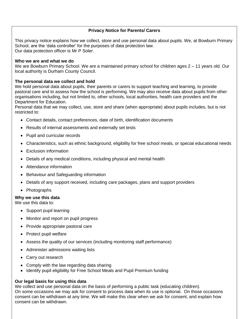#### **Privacy Notice for Parents/ Carers**

This privacy notice explains how we collect, store and use personal data about pupils. We, at Bowburn Primary School, are the 'data controller' for the purposes of data protection law. Our data protection officer is Mr P Soler.

#### **Who we are and what we do**

We are Bowburn Primary School. We are a maintained primary school for children ages 2 – 11 years old. Our local authority is Durham County Council.

#### **The personal data we collect and hold**

We hold personal data about pupils, their parents or carers to support teaching and learning, to provide pastoral care and to assess how the school is performing. We may also receive data about pupils from other organisations including, but not limited to, other schools, local authorities, health care providers and the Department for Education.

Personal data that we may collect, use, store and share (when appropriate) about pupils includes, but is not restricted to:

- Contact details, contact preferences, date of birth, identification documents
- Results of internal assessments and externally set tests
- Pupil and curricular records
- Characteristics, such as ethnic background, eligibility for free school meals, or special educational needs
- Exclusion information
- Details of any medical conditions, including physical and mental health
- Attendance information
- Behaviour and Safeguarding information
- Details of any support received, including care packages, plans and support providers
- Photographs

#### **Why we use this data**

We use this data to:

- Support pupil learning
- Monitor and report on pupil progress
- Provide appropriate pastoral care
- Protect pupil welfare
- Assess the quality of our services (including monitoring staff performance)
- Administer admissions waiting lists
- Carry out research
- Comply with the law regarding data sharing
- Identify pupil eligibility for Free School Meals and Pupil Premium funding

#### **Our legal basis for using this data**

We collect and use personal data on the basis of performing a public task (educating children). On some occasions we may ask for consent to process data when its use is optional. On those occasions consent can be withdrawn at any time. We will make this clear when we ask for consent, and explain how consent can be withdrawn.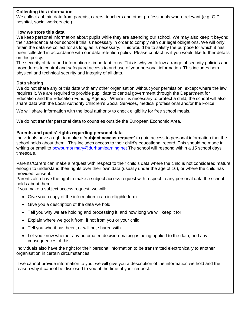#### **Collecting this information**

We collect / obtain data from parents, carers, teachers and other professionals where relevant (e.g. G.P, hospital, social workers etc.)

### **How we store this data**

We keep personal information about pupils while they are attending our school. We may also keep it beyond their attendance at our school if this is necessary in order to comply with our legal obligations. We will only retain the data we collect for as long as is necessary. This would be to satisfy the purpose for which it has been collected in accordance with our data retention policy. Please contact us if you would like further details on this policy.

The security of data and information is important to us. This is why we follow a range of security policies and procedures to control and safeguard access to and use of your personal information. This includes both physical and technical security and integrity of all data.

## **Data sharing**

We do not share any of this data with any other organisation without your permission, except where the law requires it. We are required to provide pupil data to central government through the Department for Education and the Education Funding Agency. Where it is necessary to protect a child, the school will also share data with the Local Authority Children's Social Services, medical professional and/or the Police.

We will share information with the local authority to check eligibility for free school meals.

We do not transfer personal data to countries outside the European Economic Area.

#### **Parents and pupils' rights regarding personal data**

Individuals have a right to make a **'subject access request'** to gain access to personal information that the school holds about them. This includes access to their child's educational record. This should be made in writing or email to [bowburnprimary@durhamlearning.net](mailto:bowburnprimary@durhamlearning.net) The school will respond within a 15 school days timescale.

Parents/Carers can make a request with respect to their child's data where the child is not considered mature enough to understand their rights over their own data (usually under the age of 16), or where the child has provided consent.

Parents also have the right to make a subject access request with respect to any personal data the school holds about them.

If you make a subject access request, we will:

- Give you a copy of the information in an intelligible form
- Give you a description of the data we hold
- Tell you why we are holding and processing it, and how long we will keep it for
- Explain where we got it from, if not from you or your child
- Tell you who it has been, or will be, shared with
- Let you know whether any automated decision-making is being applied to the data, and any consequences of this.

Individuals also have the right for their personal information to be transmitted electronically to another organisation in certain circumstances.

If we cannot provide information to you, we will give you a description of the information we hold and the reason why it cannot be disclosed to you at the time of your request.